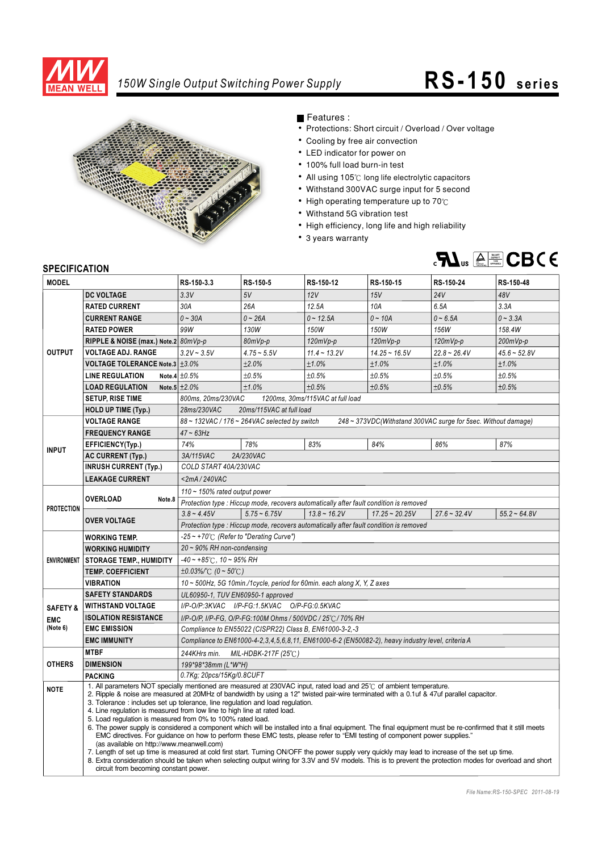

## *150W Single Output Switching Power Supply* **RS- 150 series**



Features :

- Protections: Short circuit / Overload / Over voltage
- Cooling by free air convection
- LED indicator for power on
- 100% full load burn-in test
- All using 105°C long life electrolytic capacitors
- Withstand 300VAC surge input for 5 second
- $\bullet$  High operating temperature up to 70 $\degree$ C
- Withstand 5G vibration test
- High efficiency, long life and high reliability
- 3 years warranty



## **SPECIFICATION**

| יוטו ועאו ווטבו וט<br><b>MODEL</b> |                                                                                                                                                                                                                                                                                                      | RS-150-3.3                                                                                                                                                 | RS-150-5       | RS-150-12                                                                             | RS-150-15        | RS-150-24      | RS-150-48      |
|------------------------------------|------------------------------------------------------------------------------------------------------------------------------------------------------------------------------------------------------------------------------------------------------------------------------------------------------|------------------------------------------------------------------------------------------------------------------------------------------------------------|----------------|---------------------------------------------------------------------------------------|------------------|----------------|----------------|
|                                    | <b>DC VOLTAGE</b>                                                                                                                                                                                                                                                                                    | 3.3V                                                                                                                                                       | 5V             | 12V                                                                                   | 15V              | 24V            | 48V            |
| <b>OUTPUT</b>                      | <b>RATED CURRENT</b>                                                                                                                                                                                                                                                                                 | 30A                                                                                                                                                        | 26A            | 12.5A                                                                                 | 10A              | 6.5A           | 3.3A           |
|                                    | <b>CURRENT RANGE</b>                                                                                                                                                                                                                                                                                 | $0 - 30A$                                                                                                                                                  | $0 - 26A$      | $0 - 12.5A$                                                                           | $0 - 10A$        | $0 - 6.5A$     | $0 - 3.3A$     |
|                                    | <b>RATED POWER</b>                                                                                                                                                                                                                                                                                   | 99W                                                                                                                                                        | 130W           | 150W                                                                                  | 150W             | 156W           | 158.4W         |
|                                    | RIPPLE & NOISE (max.) Note.2 80mVp-p                                                                                                                                                                                                                                                                 |                                                                                                                                                            | 80mVp-p        | $120mVp-p$                                                                            | $120mVp-p$       | $120mVp-p$     | $200mVp-p$     |
|                                    | <b>VOLTAGE ADJ. RANGE</b>                                                                                                                                                                                                                                                                            | $3.2V - 3.5V$                                                                                                                                              | $4.75 - 5.5V$  | $11.4 - 13.2V$                                                                        | $14.25 - 16.5V$  | $22.8 - 26.4V$ | $45.6 - 52.8V$ |
|                                    | VOLTAGE TOLERANCE Note.3 ±3.0%                                                                                                                                                                                                                                                                       |                                                                                                                                                            | ±2.0%          | ±1.0%                                                                                 | ±1.0%            | ±1.0%          | ±1.0%          |
|                                    | <b>LINE REGULATION</b>                                                                                                                                                                                                                                                                               | Note.4 $\pm 0.5\%$                                                                                                                                         | ±0.5%          | ±0.5%                                                                                 | ±0.5%            | ±0.5%          | ±0.5%          |
|                                    | <b>LOAD REGULATION</b>                                                                                                                                                                                                                                                                               | Note.5 $\pm 2.0\%$                                                                                                                                         | ±1.0%          | ±0.5%                                                                                 | ±0.5%            | ±0.5%          | ±0.5%          |
|                                    | <b>SETUP, RISE TIME</b>                                                                                                                                                                                                                                                                              | 1200ms, 30ms/115VAC at full load<br>800ms, 20ms/230VAC                                                                                                     |                |                                                                                       |                  |                |                |
|                                    | <b>HOLD UP TIME (Typ.)</b>                                                                                                                                                                                                                                                                           | 28ms/230VAC<br>20ms/115VAC at full load                                                                                                                    |                |                                                                                       |                  |                |                |
|                                    | <b>VOLTAGE RANGE</b>                                                                                                                                                                                                                                                                                 | 88~132VAC / 176~264VAC selected by switch<br>248 ~ 373VDC(Withstand 300VAC surge for 5sec. Without damage)                                                 |                |                                                                                       |                  |                |                |
| <b>INPUT</b>                       | <b>FREQUENCY RANGE</b>                                                                                                                                                                                                                                                                               | $47 - 63$ Hz                                                                                                                                               |                |                                                                                       |                  |                |                |
|                                    | EFFICIENCY(Typ.)                                                                                                                                                                                                                                                                                     | 74%                                                                                                                                                        | 78%            | 83%                                                                                   | 84%              | 86%            | 87%            |
|                                    | <b>AC CURRENT (Typ.)</b>                                                                                                                                                                                                                                                                             | 2A/230VAC<br>3A/115VAC                                                                                                                                     |                |                                                                                       |                  |                |                |
|                                    | <b>INRUSH CURRENT (Typ.)</b>                                                                                                                                                                                                                                                                         | COLD START 40A/230VAC                                                                                                                                      |                |                                                                                       |                  |                |                |
|                                    | <b>LEAKAGE CURRENT</b>                                                                                                                                                                                                                                                                               | $<$ 2mA/240VAC                                                                                                                                             |                |                                                                                       |                  |                |                |
| <b>PROTECTION</b>                  | <b>OVERLOAD</b><br>Note.8                                                                                                                                                                                                                                                                            | 110 ~ 150% rated output power                                                                                                                              |                |                                                                                       |                  |                |                |
|                                    |                                                                                                                                                                                                                                                                                                      |                                                                                                                                                            |                | Protection type: Hiccup mode, recovers automatically after fault condition is removed |                  |                |                |
|                                    | <b>OVER VOLTAGE</b>                                                                                                                                                                                                                                                                                  | $3.8 - 4.45V$                                                                                                                                              | $5.75 - 6.75V$ | $13.8 - 16.2V$                                                                        | $17.25 - 20.25V$ | $27.6 - 32.4V$ | $55.2 - 64.8V$ |
|                                    |                                                                                                                                                                                                                                                                                                      | Protection type: Hiccup mode, recovers automatically after fault condition is removed                                                                      |                |                                                                                       |                  |                |                |
|                                    | <b>WORKING TEMP.</b>                                                                                                                                                                                                                                                                                 | -25~+70°C (Refer to "Derating Curve")                                                                                                                      |                |                                                                                       |                  |                |                |
|                                    | <b>WORKING HUMIDITY</b>                                                                                                                                                                                                                                                                              | $20 \sim 90\%$ RH non-condensing                                                                                                                           |                |                                                                                       |                  |                |                |
|                                    | ENVIRONMENT STORAGE TEMP., HUMIDITY                                                                                                                                                                                                                                                                  | $-40 \sim +85^{\circ}$ C, 10 ~ 95% RH                                                                                                                      |                |                                                                                       |                  |                |                |
|                                    | <b>TEMP. COEFFICIENT</b>                                                                                                                                                                                                                                                                             | $\pm 0.03\%$ (0 ~ 50°C)                                                                                                                                    |                |                                                                                       |                  |                |                |
|                                    | <b>VIBRATION</b>                                                                                                                                                                                                                                                                                     | 10 ~ 500Hz, 5G 10min./1cycle, period for 60min. each along X, Y, Z axes                                                                                    |                |                                                                                       |                  |                |                |
|                                    | <b>SAFETY STANDARDS</b>                                                                                                                                                                                                                                                                              | UL60950-1, TUV EN60950-1 approved                                                                                                                          |                |                                                                                       |                  |                |                |
| <b>SAFETY &amp;</b>                | I/P-O/P:3KVAC I/P-FG:1.5KVAC O/P-FG:0.5KVAC<br><b>WITHSTAND VOLTAGE</b>                                                                                                                                                                                                                              |                                                                                                                                                            |                |                                                                                       |                  |                |                |
| <b>EMC</b>                         | <b>ISOLATION RESISTANCE</b>                                                                                                                                                                                                                                                                          | I/P-O/P, I/P-FG, O/P-FG:100M Ohms / 500VDC / 25°C / 70% RH                                                                                                 |                |                                                                                       |                  |                |                |
| (Note 6)                           | <b>EMC EMISSION</b>                                                                                                                                                                                                                                                                                  | Compliance to EN55022 (CISPR22) Class B, EN61000-3-2,-3                                                                                                    |                |                                                                                       |                  |                |                |
|                                    | <b>EMC IMMUNITY</b>                                                                                                                                                                                                                                                                                  | Compliance to EN61000-4-2,3,4,5,6,8,11, EN61000-6-2 (EN50082-2), heavy industry level, criteria A                                                          |                |                                                                                       |                  |                |                |
| <b>OTHERS</b>                      | <b>MTBF</b>                                                                                                                                                                                                                                                                                          | 244KHrs min. MIL-HDBK-217F (25°C)                                                                                                                          |                |                                                                                       |                  |                |                |
|                                    | <b>DIMENSION</b>                                                                                                                                                                                                                                                                                     | 199*98*38mm (L*W*H)                                                                                                                                        |                |                                                                                       |                  |                |                |
|                                    | <b>PACKING</b>                                                                                                                                                                                                                                                                                       | 0.7Kg; 20pcs/15Kg/0.8CUFT                                                                                                                                  |                |                                                                                       |                  |                |                |
| <b>NOTE</b>                        | 1. All parameters NOT specially mentioned are measured at 230VAC input, rated load and 25°C of ambient temperature.<br>2. Ripple & noise are measured at 20MHz of bandwidth by using a 12" twisted pair-wire terminated with a 0.1uf & 47uf parallel capacitor.                                      |                                                                                                                                                            |                |                                                                                       |                  |                |                |
|                                    | 3. Tolerance: includes set up tolerance, line regulation and load regulation.                                                                                                                                                                                                                        |                                                                                                                                                            |                |                                                                                       |                  |                |                |
|                                    | 4. Line regulation is measured from low line to high line at rated load.<br>5. Load regulation is measured from 0% to 100% rated load.<br>6. The power supply is considered a component which will be installed into a final equipment. The final equipment must be re-confirmed that it still meets |                                                                                                                                                            |                |                                                                                       |                  |                |                |
|                                    |                                                                                                                                                                                                                                                                                                      |                                                                                                                                                            |                |                                                                                       |                  |                |                |
|                                    | EMC directives. For guidance on how to perform these EMC tests, please refer to "EMI testing of component power supplies."<br>(as available on http://www.meanwell.com)                                                                                                                              |                                                                                                                                                            |                |                                                                                       |                  |                |                |
|                                    |                                                                                                                                                                                                                                                                                                      | 7. Length of set up time is measured at cold first start. Turning ON/OFF the power supply very quickly may lead to increase of the set up time.            |                |                                                                                       |                  |                |                |
|                                    |                                                                                                                                                                                                                                                                                                      | 8. Extra consideration should be taken when selecting output wiring for 3.3V and 5V models. This is to prevent the protection modes for overload and short |                |                                                                                       |                  |                |                |
|                                    | circuit from becoming constant power.                                                                                                                                                                                                                                                                |                                                                                                                                                            |                |                                                                                       |                  |                |                |